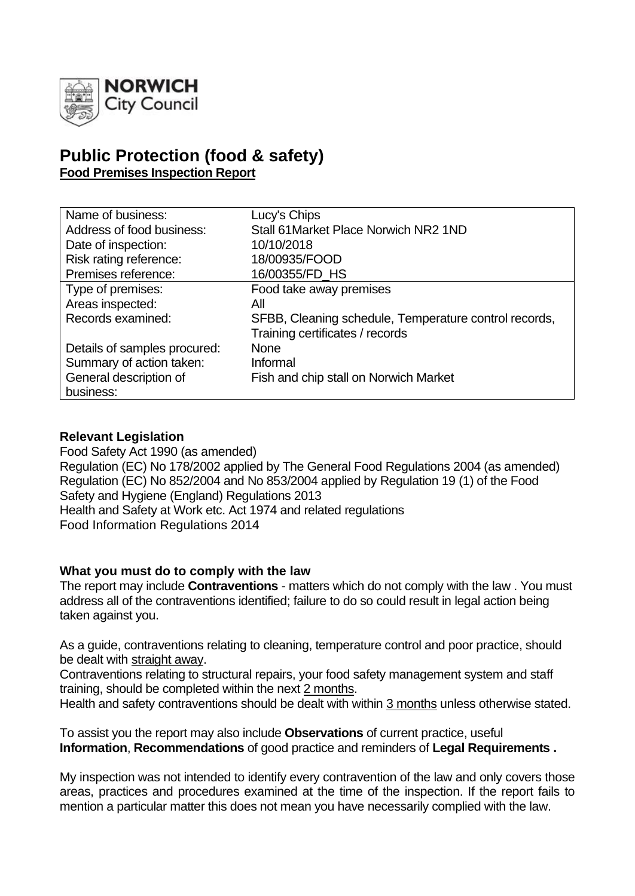

# **Public Protection (food & safety) Food Premises Inspection Report**

| Name of business:            | Lucy's Chips                                          |
|------------------------------|-------------------------------------------------------|
| Address of food business:    | Stall 61 Market Place Norwich NR2 1ND                 |
| Date of inspection:          | 10/10/2018                                            |
| Risk rating reference:       | 18/00935/FOOD                                         |
| Premises reference:          | 16/00355/FD_HS                                        |
| Type of premises:            | Food take away premises                               |
| Areas inspected:             | All                                                   |
| Records examined:            | SFBB, Cleaning schedule, Temperature control records, |
|                              | Training certificates / records                       |
| Details of samples procured: | <b>None</b>                                           |
| Summary of action taken:     | Informal                                              |
| General description of       | Fish and chip stall on Norwich Market                 |
| business:                    |                                                       |

# **Relevant Legislation**

Food Safety Act 1990 (as amended) Regulation (EC) No 178/2002 applied by The General Food Regulations 2004 (as amended) Regulation (EC) No 852/2004 and No 853/2004 applied by Regulation 19 (1) of the Food Safety and Hygiene (England) Regulations 2013 Health and Safety at Work etc. Act 1974 and related regulations Food Information Regulations 2014

#### **What you must do to comply with the law**

The report may include **Contraventions** - matters which do not comply with the law . You must address all of the contraventions identified; failure to do so could result in legal action being taken against you.

As a guide, contraventions relating to cleaning, temperature control and poor practice, should be dealt with straight away.

Contraventions relating to structural repairs, your food safety management system and staff training, should be completed within the next 2 months.

Health and safety contraventions should be dealt with within 3 months unless otherwise stated.

To assist you the report may also include **Observations** of current practice, useful **Information**, **Recommendations** of good practice and reminders of **Legal Requirements .**

My inspection was not intended to identify every contravention of the law and only covers those areas, practices and procedures examined at the time of the inspection. If the report fails to mention a particular matter this does not mean you have necessarily complied with the law.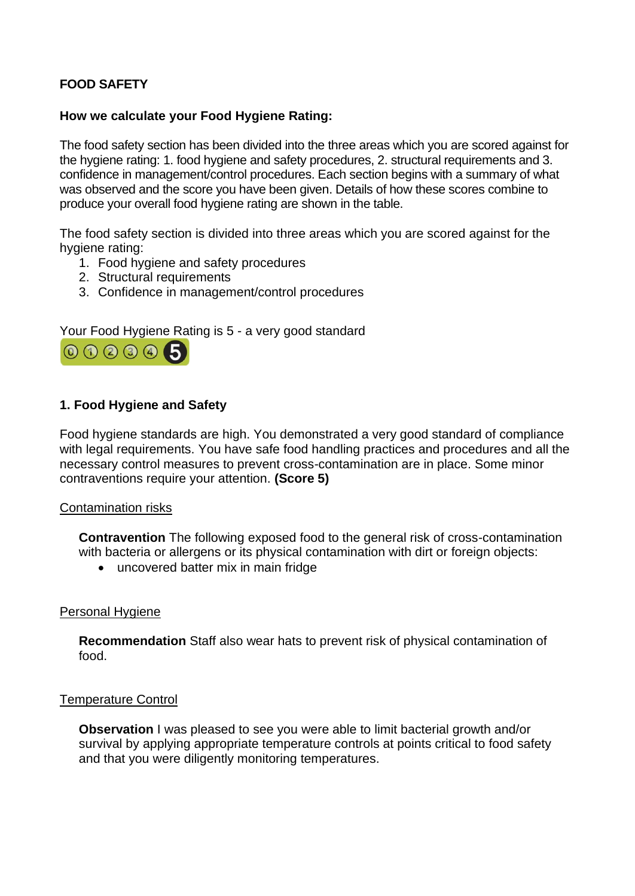# **FOOD SAFETY**

# **How we calculate your Food Hygiene Rating:**

The food safety section has been divided into the three areas which you are scored against for the hygiene rating: 1. food hygiene and safety procedures, 2. structural requirements and 3. confidence in management/control procedures. Each section begins with a summary of what was observed and the score you have been given. Details of how these scores combine to produce your overall food hygiene rating are shown in the table.

The food safety section is divided into three areas which you are scored against for the hygiene rating:

- 1. Food hygiene and safety procedures
- 2. Structural requirements
- 3. Confidence in management/control procedures

# Your Food Hygiene Rating is 5 - a very good standard



# **1. Food Hygiene and Safety**

Food hygiene standards are high. You demonstrated a very good standard of compliance with legal requirements. You have safe food handling practices and procedures and all the necessary control measures to prevent cross-contamination are in place. Some minor contraventions require your attention. **(Score 5)**

#### Contamination risks

**Contravention** The following exposed food to the general risk of cross-contamination with bacteria or allergens or its physical contamination with dirt or foreign objects:

• uncovered batter mix in main fridge

#### Personal Hygiene

**Recommendation** Staff also wear hats to prevent risk of physical contamination of food.

#### Temperature Control

**Observation** I was pleased to see you were able to limit bacterial growth and/or survival by applying appropriate temperature controls at points critical to food safety and that you were diligently monitoring temperatures.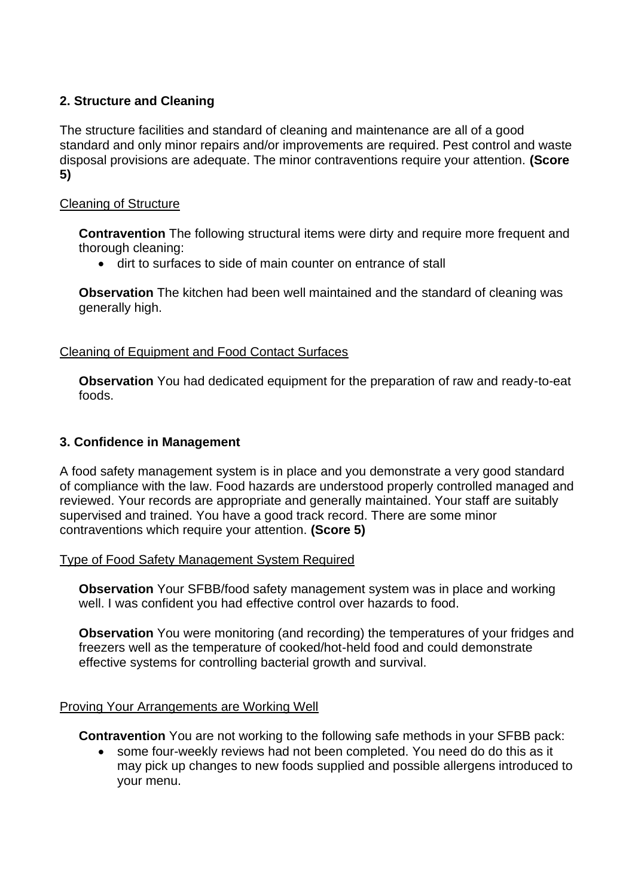# **2. Structure and Cleaning**

The structure facilities and standard of cleaning and maintenance are all of a good standard and only minor repairs and/or improvements are required. Pest control and waste disposal provisions are adequate. The minor contraventions require your attention. **(Score 5)**

# Cleaning of Structure

**Contravention** The following structural items were dirty and require more frequent and thorough cleaning:

• dirt to surfaces to side of main counter on entrance of stall

**Observation** The kitchen had been well maintained and the standard of cleaning was generally high.

# Cleaning of Equipment and Food Contact Surfaces

**Observation** You had dedicated equipment for the preparation of raw and ready-to-eat foods.

# **3. Confidence in Management**

A food safety management system is in place and you demonstrate a very good standard of compliance with the law. Food hazards are understood properly controlled managed and reviewed. Your records are appropriate and generally maintained. Your staff are suitably supervised and trained. You have a good track record. There are some minor contraventions which require your attention. **(Score 5)**

#### Type of Food Safety Management System Required

**Observation** Your SFBB/food safety management system was in place and working well. I was confident you had effective control over hazards to food.

**Observation** You were monitoring (and recording) the temperatures of your fridges and freezers well as the temperature of cooked/hot-held food and could demonstrate effective systems for controlling bacterial growth and survival.

#### Proving Your Arrangements are Working Well

**Contravention** You are not working to the following safe methods in your SFBB pack:

• some four-weekly reviews had not been completed. You need do do this as it may pick up changes to new foods supplied and possible allergens introduced to your menu.